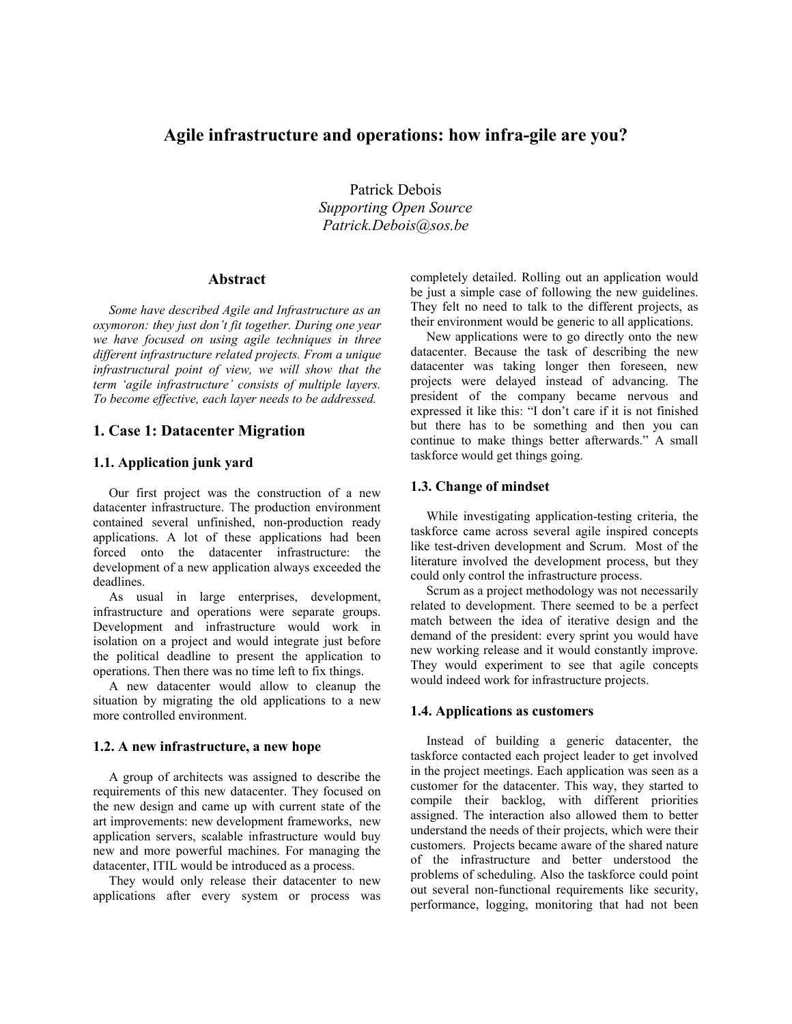## **Agile infrastructure and operations: how infra-gile are you?**

Patrick Debois *Supporting Open Source Patrick.Debois@sos.be* 

#### **Abstract**

*Some have described Agile and Infrastructure as an oxymoron: they just don't fit together. During one year we have focused on using agile techniques in three different infrastructure related projects. From a unique infrastructural point of view, we will show that the term 'agile infrastructure' consists of multiple layers. To become effective, each layer needs to be addressed.* 

#### **1. Case 1: Datacenter Migration**

#### **1.1. Application junk yard**

Our first project was the construction of a new datacenter infrastructure. The production environment contained several unfinished, non-production ready applications. A lot of these applications had been forced onto the datacenter infrastructure: the development of a new application always exceeded the deadlines.

As usual in large enterprises, development, infrastructure and operations were separate groups. Development and infrastructure would work in isolation on a project and would integrate just before the political deadline to present the application to operations. Then there was no time left to fix things.

A new datacenter would allow to cleanup the situation by migrating the old applications to a new more controlled environment.

#### **1.2. A new infrastructure, a new hope**

A group of architects was assigned to describe the requirements of this new datacenter. They focused on the new design and came up with current state of the art improvements: new development frameworks, new application servers, scalable infrastructure would buy new and more powerful machines. For managing the datacenter, ITIL would be introduced as a process.

They would only release their datacenter to new applications after every system or process was completely detailed. Rolling out an application would be just a simple case of following the new guidelines. They felt no need to talk to the different projects, as their environment would be generic to all applications.

New applications were to go directly onto the new datacenter. Because the task of describing the new datacenter was taking longer then foreseen, new projects were delayed instead of advancing. The president of the company became nervous and expressed it like this: "I don't care if it is not finished but there has to be something and then you can continue to make things better afterwards." A small taskforce would get things going.

#### **1.3. Change of mindset**

While investigating application-testing criteria, the taskforce came across several agile inspired concepts like test-driven development and Scrum. Most of the literature involved the development process, but they could only control the infrastructure process.

Scrum as a project methodology was not necessarily related to development. There seemed to be a perfect match between the idea of iterative design and the demand of the president: every sprint you would have new working release and it would constantly improve. They would experiment to see that agile concepts would indeed work for infrastructure projects.

#### **1.4. Applications as customers**

Instead of building a generic datacenter, the taskforce contacted each project leader to get involved in the project meetings. Each application was seen as a customer for the datacenter. This way, they started to compile their backlog, with different priorities assigned. The interaction also allowed them to better understand the needs of their projects, which were their customers. Projects became aware of the shared nature of the infrastructure and better understood the problems of scheduling. Also the taskforce could point out several non-functional requirements like security, performance, logging, monitoring that had not been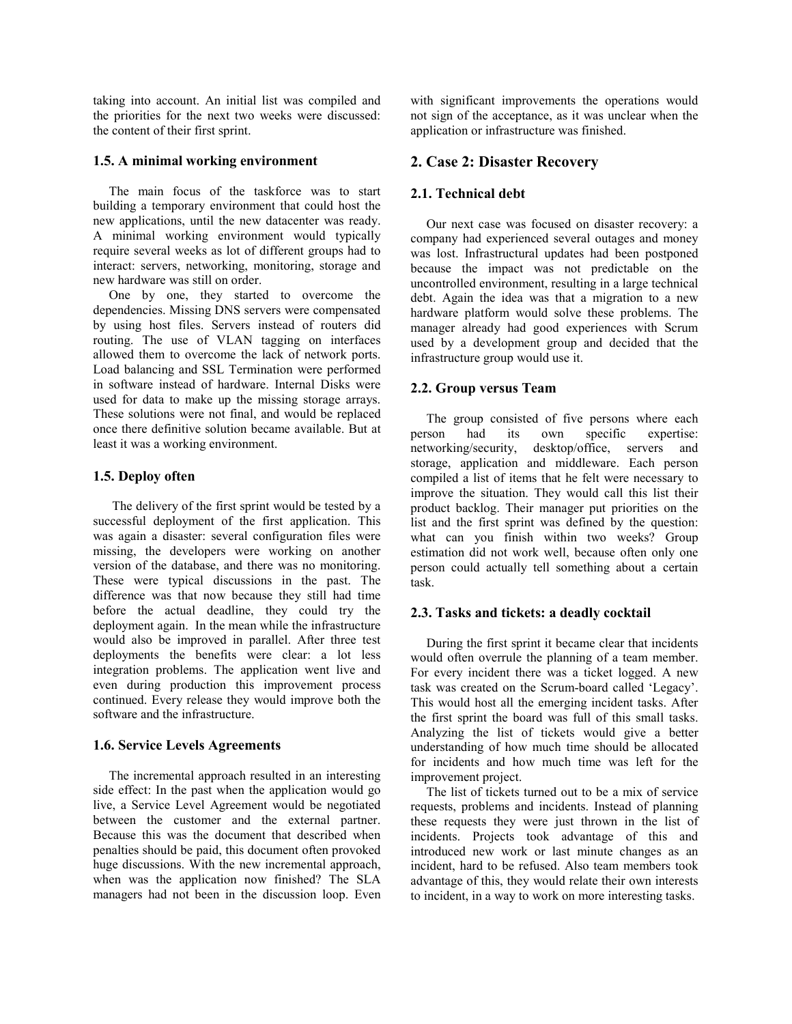taking into account. An initial list was compiled and the priorities for the next two weeks were discussed: the content of their first sprint.

### **1.5. A minimal working environment**

The main focus of the taskforce was to start building a temporary environment that could host the new applications, until the new datacenter was ready. A minimal working environment would typically require several weeks as lot of different groups had to interact: servers, networking, monitoring, storage and new hardware was still on order.

One by one, they started to overcome the dependencies. Missing DNS servers were compensated by using host files. Servers instead of routers did routing. The use of VLAN tagging on interfaces allowed them to overcome the lack of network ports. Load balancing and SSL Termination were performed in software instead of hardware. Internal Disks were used for data to make up the missing storage arrays. These solutions were not final, and would be replaced once there definitive solution became available. But at least it was a working environment.

#### **1.5. Deploy often**

 The delivery of the first sprint would be tested by a successful deployment of the first application. This was again a disaster: several configuration files were missing, the developers were working on another version of the database, and there was no monitoring. These were typical discussions in the past. The difference was that now because they still had time before the actual deadline, they could try the deployment again. In the mean while the infrastructure would also be improved in parallel. After three test deployments the benefits were clear: a lot less integration problems. The application went live and even during production this improvement process continued. Every release they would improve both the software and the infrastructure.

## **1.6. Service Levels Agreements**

The incremental approach resulted in an interesting side effect: In the past when the application would go live, a Service Level Agreement would be negotiated between the customer and the external partner. Because this was the document that described when penalties should be paid, this document often provoked huge discussions. With the new incremental approach, when was the application now finished? The SLA managers had not been in the discussion loop. Even with significant improvements the operations would not sign of the acceptance, as it was unclear when the application or infrastructure was finished.

## **2. Case 2: Disaster Recovery**

## **2.1. Technical debt**

Our next case was focused on disaster recovery: a company had experienced several outages and money was lost. Infrastructural updates had been postponed because the impact was not predictable on the uncontrolled environment, resulting in a large technical debt. Again the idea was that a migration to a new hardware platform would solve these problems. The manager already had good experiences with Scrum used by a development group and decided that the infrastructure group would use it.

## **2.2. Group versus Team**

The group consisted of five persons where each person had its own specific expertise: networking/security, desktop/office, servers and storage, application and middleware. Each person compiled a list of items that he felt were necessary to improve the situation. They would call this list their product backlog. Their manager put priorities on the list and the first sprint was defined by the question: what can you finish within two weeks? Group estimation did not work well, because often only one person could actually tell something about a certain task.

## **2.3. Tasks and tickets: a deadly cocktail**

During the first sprint it became clear that incidents would often overrule the planning of a team member. For every incident there was a ticket logged. A new task was created on the Scrum-board called 'Legacy'. This would host all the emerging incident tasks. After the first sprint the board was full of this small tasks. Analyzing the list of tickets would give a better understanding of how much time should be allocated for incidents and how much time was left for the improvement project.

The list of tickets turned out to be a mix of service requests, problems and incidents. Instead of planning these requests they were just thrown in the list of incidents. Projects took advantage of this and introduced new work or last minute changes as an incident, hard to be refused. Also team members took advantage of this, they would relate their own interests to incident, in a way to work on more interesting tasks.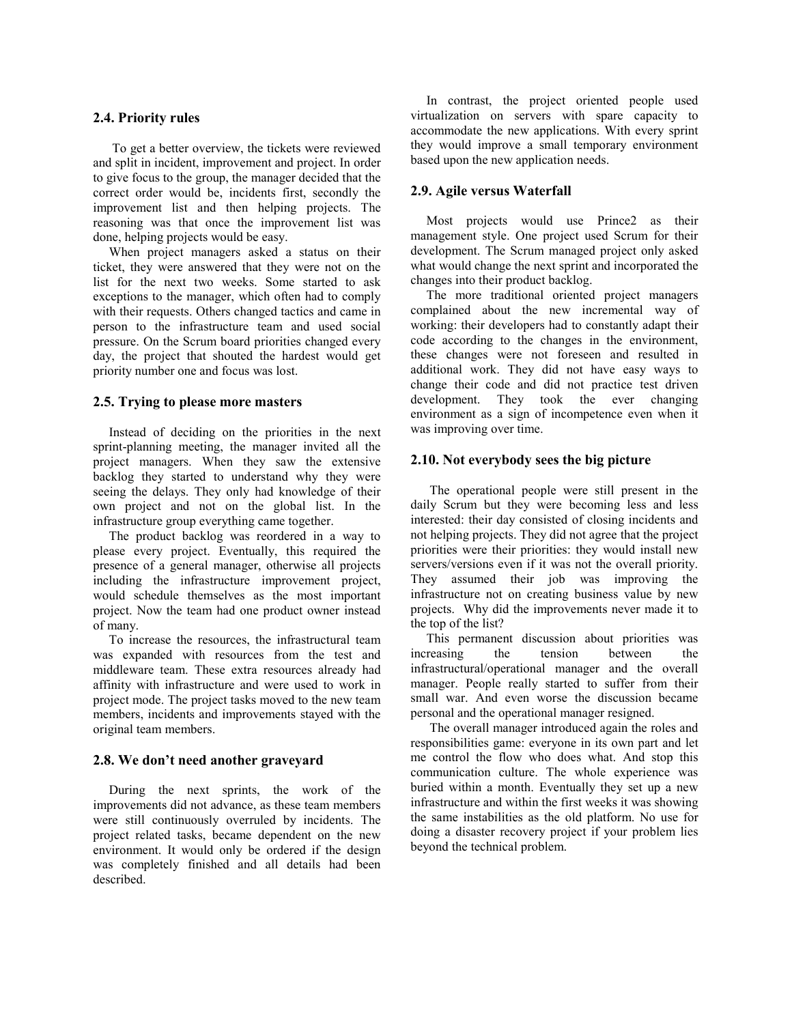#### **2.4. Priority rules**

 To get a better overview, the tickets were reviewed and split in incident, improvement and project. In order to give focus to the group, the manager decided that the correct order would be, incidents first, secondly the improvement list and then helping projects. The reasoning was that once the improvement list was done, helping projects would be easy.

When project managers asked a status on their ticket, they were answered that they were not on the list for the next two weeks. Some started to ask exceptions to the manager, which often had to comply with their requests. Others changed tactics and came in person to the infrastructure team and used social pressure. On the Scrum board priorities changed every day, the project that shouted the hardest would get priority number one and focus was lost.

#### **2.5. Trying to please more masters**

Instead of deciding on the priorities in the next sprint-planning meeting, the manager invited all the project managers. When they saw the extensive backlog they started to understand why they were seeing the delays. They only had knowledge of their own project and not on the global list. In the infrastructure group everything came together.

The product backlog was reordered in a way to please every project. Eventually, this required the presence of a general manager, otherwise all projects including the infrastructure improvement project, would schedule themselves as the most important project. Now the team had one product owner instead of many.

To increase the resources, the infrastructural team was expanded with resources from the test and middleware team. These extra resources already had affinity with infrastructure and were used to work in project mode. The project tasks moved to the new team members, incidents and improvements stayed with the original team members.

#### **2.8. We don't need another graveyard**

During the next sprints, the work of the improvements did not advance, as these team members were still continuously overruled by incidents. The project related tasks, became dependent on the new environment. It would only be ordered if the design was completely finished and all details had been described.

In contrast, the project oriented people used virtualization on servers with spare capacity to accommodate the new applications. With every sprint they would improve a small temporary environment based upon the new application needs.

#### **2.9. Agile versus Waterfall**

Most projects would use Prince2 as their management style. One project used Scrum for their development. The Scrum managed project only asked what would change the next sprint and incorporated the changes into their product backlog.

The more traditional oriented project managers complained about the new incremental way of working: their developers had to constantly adapt their code according to the changes in the environment, these changes were not foreseen and resulted in additional work. They did not have easy ways to change their code and did not practice test driven development. They took the ever changing environment as a sign of incompetence even when it was improving over time.

#### **2.10. Not everybody sees the big picture**

 The operational people were still present in the daily Scrum but they were becoming less and less interested: their day consisted of closing incidents and not helping projects. They did not agree that the project priorities were their priorities: they would install new servers/versions even if it was not the overall priority. They assumed their job was improving the infrastructure not on creating business value by new projects. Why did the improvements never made it to the top of the list?

This permanent discussion about priorities was increasing the tension between the infrastructural/operational manager and the overall manager. People really started to suffer from their small war. And even worse the discussion became personal and the operational manager resigned.

 The overall manager introduced again the roles and responsibilities game: everyone in its own part and let me control the flow who does what. And stop this communication culture. The whole experience was buried within a month. Eventually they set up a new infrastructure and within the first weeks it was showing the same instabilities as the old platform. No use for doing a disaster recovery project if your problem lies beyond the technical problem.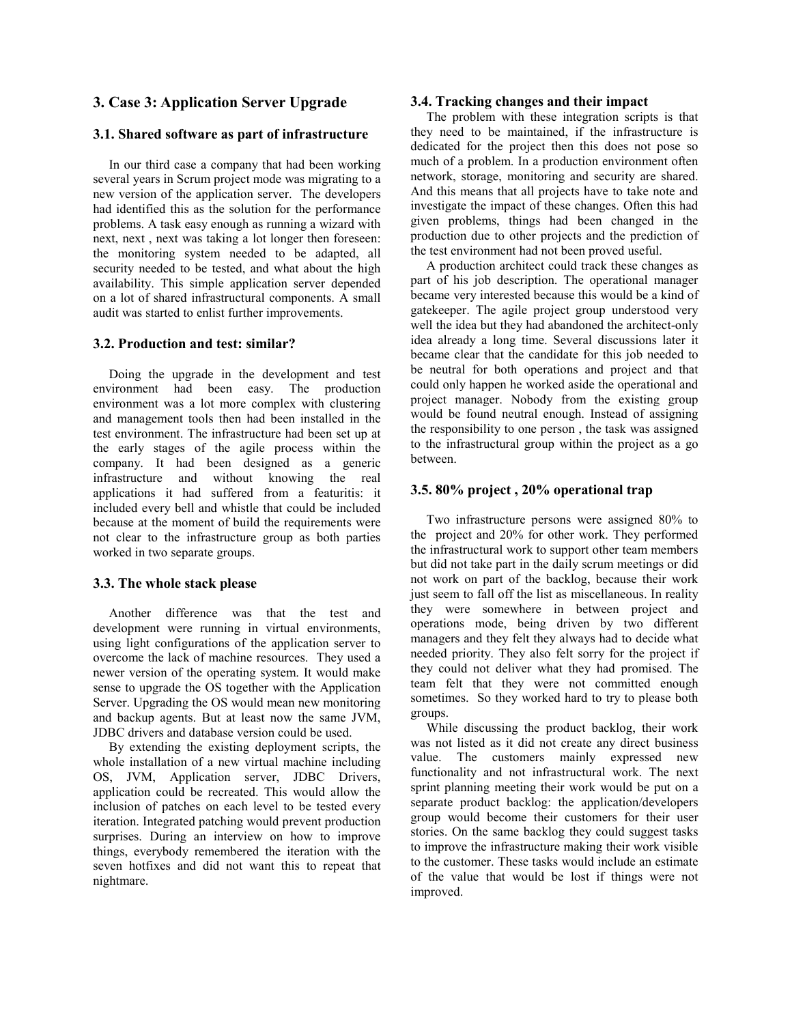## **3. Case 3: Application Server Upgrade**

#### **3.1. Shared software as part of infrastructure**

In our third case a company that had been working several years in Scrum project mode was migrating to a new version of the application server. The developers had identified this as the solution for the performance problems. A task easy enough as running a wizard with next, next , next was taking a lot longer then foreseen: the monitoring system needed to be adapted, all security needed to be tested, and what about the high availability. This simple application server depended on a lot of shared infrastructural components. A small audit was started to enlist further improvements.

#### **3.2. Production and test: similar?**

Doing the upgrade in the development and test environment had been easy. The production environment was a lot more complex with clustering and management tools then had been installed in the test environment. The infrastructure had been set up at the early stages of the agile process within the company. It had been designed as a generic infrastructure and without knowing the real applications it had suffered from a featuritis: it included every bell and whistle that could be included because at the moment of build the requirements were not clear to the infrastructure group as both parties worked in two separate groups.

## **3.3. The whole stack please**

Another difference was that the test and development were running in virtual environments, using light configurations of the application server to overcome the lack of machine resources. They used a newer version of the operating system. It would make sense to upgrade the OS together with the Application Server. Upgrading the OS would mean new monitoring and backup agents. But at least now the same JVM, JDBC drivers and database version could be used.

By extending the existing deployment scripts, the whole installation of a new virtual machine including OS, JVM, Application server, JDBC Drivers, application could be recreated. This would allow the inclusion of patches on each level to be tested every iteration. Integrated patching would prevent production surprises. During an interview on how to improve things, everybody remembered the iteration with the seven hotfixes and did not want this to repeat that nightmare.

#### **3.4. Tracking changes and their impact**

The problem with these integration scripts is that they need to be maintained, if the infrastructure is dedicated for the project then this does not pose so much of a problem. In a production environment often network, storage, monitoring and security are shared. And this means that all projects have to take note and investigate the impact of these changes. Often this had given problems, things had been changed in the production due to other projects and the prediction of the test environment had not been proved useful.

A production architect could track these changes as part of his job description. The operational manager became very interested because this would be a kind of gatekeeper. The agile project group understood very well the idea but they had abandoned the architect-only idea already a long time. Several discussions later it became clear that the candidate for this job needed to be neutral for both operations and project and that could only happen he worked aside the operational and project manager. Nobody from the existing group would be found neutral enough. Instead of assigning the responsibility to one person , the task was assigned to the infrastructural group within the project as a go between.

## **3.5. 80% project , 20% operational trap**

Two infrastructure persons were assigned 80% to the project and 20% for other work. They performed the infrastructural work to support other team members but did not take part in the daily scrum meetings or did not work on part of the backlog, because their work just seem to fall off the list as miscellaneous. In reality they were somewhere in between project and operations mode, being driven by two different managers and they felt they always had to decide what needed priority. They also felt sorry for the project if they could not deliver what they had promised. The team felt that they were not committed enough sometimes. So they worked hard to try to please both groups.

While discussing the product backlog, their work was not listed as it did not create any direct business value. The customers mainly expressed new functionality and not infrastructural work. The next sprint planning meeting their work would be put on a separate product backlog: the application/developers group would become their customers for their user stories. On the same backlog they could suggest tasks to improve the infrastructure making their work visible to the customer. These tasks would include an estimate of the value that would be lost if things were not improved.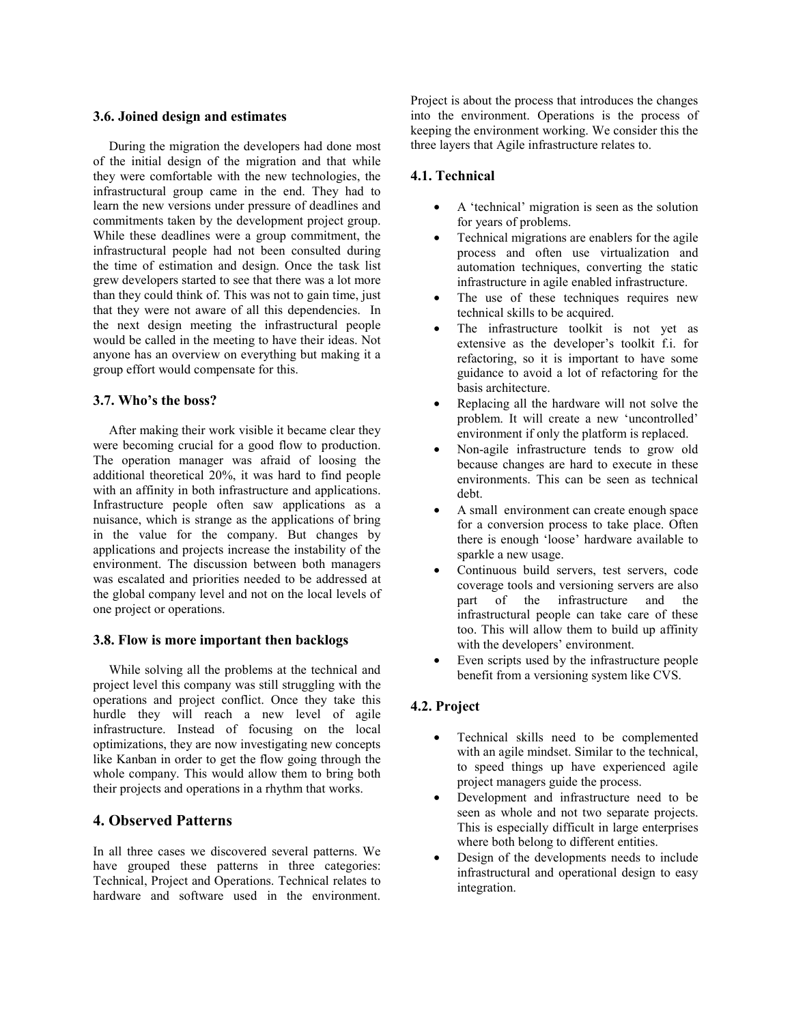#### **3.6. Joined design and estimates**

During the migration the developers had done most of the initial design of the migration and that while they were comfortable with the new technologies, the infrastructural group came in the end. They had to learn the new versions under pressure of deadlines and commitments taken by the development project group. While these deadlines were a group commitment, the infrastructural people had not been consulted during the time of estimation and design. Once the task list grew developers started to see that there was a lot more than they could think of. This was not to gain time, just that they were not aware of all this dependencies. In the next design meeting the infrastructural people would be called in the meeting to have their ideas. Not anyone has an overview on everything but making it a group effort would compensate for this.

#### **3.7. Who's the boss?**

After making their work visible it became clear they were becoming crucial for a good flow to production. The operation manager was afraid of loosing the additional theoretical 20%, it was hard to find people with an affinity in both infrastructure and applications. Infrastructure people often saw applications as a nuisance, which is strange as the applications of bring in the value for the company. But changes by applications and projects increase the instability of the environment. The discussion between both managers was escalated and priorities needed to be addressed at the global company level and not on the local levels of one project or operations.

#### **3.8. Flow is more important then backlogs**

While solving all the problems at the technical and project level this company was still struggling with the operations and project conflict. Once they take this hurdle they will reach a new level of agile infrastructure. Instead of focusing on the local optimizations, they are now investigating new concepts like Kanban in order to get the flow going through the whole company. This would allow them to bring both their projects and operations in a rhythm that works.

## **4. Observed Patterns**

In all three cases we discovered several patterns. We have grouped these patterns in three categories: Technical, Project and Operations. Technical relates to hardware and software used in the environment

Project is about the process that introduces the changes into the environment. Operations is the process of keeping the environment working. We consider this the three layers that Agile infrastructure relates to.

### **4.1. Technical**

- A 'technical' migration is seen as the solution for years of problems.
- Technical migrations are enablers for the agile process and often use virtualization and automation techniques, converting the static infrastructure in agile enabled infrastructure.
- The use of these techniques requires new technical skills to be acquired.
- The infrastructure toolkit is not yet as extensive as the developer's toolkit f.i. for refactoring, so it is important to have some guidance to avoid a lot of refactoring for the basis architecture.
- Replacing all the hardware will not solve the problem. It will create a new 'uncontrolled' environment if only the platform is replaced.
- Non-agile infrastructure tends to grow old because changes are hard to execute in these environments. This can be seen as technical debt.
- A small environment can create enough space for a conversion process to take place. Often there is enough 'loose' hardware available to sparkle a new usage.
- Continuous build servers, test servers, code coverage tools and versioning servers are also part of the infrastructure and the infrastructural people can take care of these too. This will allow them to build up affinity with the developers' environment.
- Even scripts used by the infrastructure people benefit from a versioning system like CVS.

## **4.2. Project**

- Technical skills need to be complemented with an agile mindset. Similar to the technical, to speed things up have experienced agile project managers guide the process.
- Development and infrastructure need to be seen as whole and not two separate projects. This is especially difficult in large enterprises where both belong to different entities.
- Design of the developments needs to include infrastructural and operational design to easy integration.